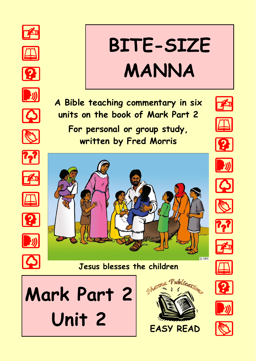

























**A Bible teaching commentary in six** 

**units on the book of Mark Part 2**

**BITE-SIZE** 

**MANNA**

























C GRN





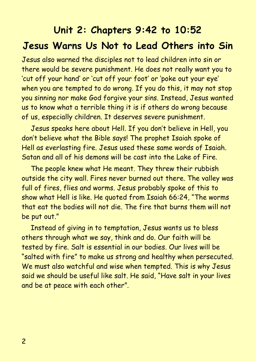# **Unit 2: Chapters 9:42 to 10:52 Jesus Warns Us Not to Lead Others into Sin**

Jesus also warned the disciples not to lead children into sin or there would be severe punishment. He does not really want you to 'cut off your hand' or 'cut off your foot' or 'poke out your eye' when you are tempted to do wrong. If you do this, it may not stop you sinning nor make God forgive your sins. Instead, Jesus wanted us to know what a terrible thing it is if others do wrong because of us, especially children. It deserves severe punishment.

Jesus speaks here about Hell. If you don't believe in Hell, you don't believe what the Bible says! The prophet Isaiah spoke of Hell as everlasting fire. Jesus used these same words of Isaiah. Satan and all of his demons will be cast into the Lake of Fire.

The people knew what He meant. They threw their rubbish outside the city wall. Fires never burned out there. The valley was full of fires, flies and worms. Jesus probably spoke of this to show what Hell is like. He quoted from Isaiah 66:24, "The worms that eat the bodies will not die. The fire that burns them will not be put out."

Instead of giving in to temptation, Jesus wants us to bless others through what we say, think and do. Our faith will be tested by fire. Salt is essential in our bodies. Our lives will be "salted with fire" to make us strong and healthy when persecuted. We must also watchful and wise when tempted. This is why Jesus said we should be useful like salt. He said, "Have salt in your lives and be at peace with each other".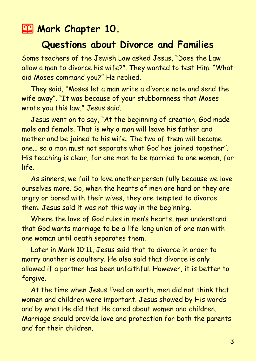## **2 Mark Chapter 10.**

### **Questions about Divorce and Families**

Some teachers of the Jewish Law asked Jesus, "Does the Law allow a man to divorce his wife?". They wanted to test Him. "What did Moses command you?" He replied.

They said, "Moses let a man write a divorce note and send the wife away". "It was because of your stubbornness that Moses wrote you this law," Jesus said.

Jesus went on to say, "At the beginning of creation, God made male and female. That is why a man will leave his father and mother and be joined to his wife. The two of them will become one... so a man must not separate what God has joined together". His teaching is clear, for one man to be married to one woman, for life.

As sinners, we fail to love another person fully because we love ourselves more. So, when the hearts of men are hard or they are angry or bored with their wives, they are tempted to divorce them. Jesus said it was not this way in the beginning.

Where the love of God rules in men's hearts, men understand that God wants marriage to be a life-long union of one man with one woman until death separates them.

Later in Mark 10:11, Jesus said that to divorce in order to marry another is adultery. He also said that divorce is only allowed if a partner has been unfaithful. However, it is better to forgive.

At the time when Jesus lived on earth, men did not think that women and children were important. Jesus showed by His words and by what He did that He cared about women and children. Marriage should provide love and protection for both the parents and for their children.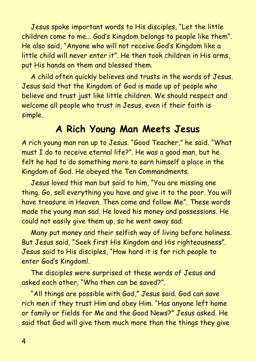Jesus spoke important words to His disciples, "Let the little children come to me... God's Kingdom belongs to people like them". He also said, "Anyone who will not receive God's Kingdom like a little child will never enter it". He then took children in His arms, put His hands on them and blessed them.

A child often quickly believes and trusts in the words of Jesus. Jesus said that the Kingdom of God is made up of people who believe and trust just like little children. We should respect and welcome all people who trust in Jesus, even if their faith is simple.

## **A Rich Young Man Meets Jesus**

A rich young man ran up to Jesus. "Good Teacher," he said. "What must I do to receive eternal life?". He was a good man, but he felt he had to do something more to earn himself a place in the Kingdom of God. He obeyed the Ten Commandments.

Jesus loved this man but said to him, "You are missing one thing. Go, sell everything you have and give it to the poor. You will have treasure in Heaven. Then come and follow Me". These words made the young man sad. He loved his money and possessions. He could not easily give them up, so he went away sad.

Many put money and their selfish way of living before holiness. But Jesus said, "Seek first His Kingdom and His righteousness". Jesus said to His disciples, "How hard it is for rich people to enter God's Kingdom!.

The disciples were surprised at these words of Jesus and asked each other, "Who then can be saved?".

"All things are possible with God," Jesus said. God can save rich men if they trust Him and obey Him. "Has anyone left home or family or fields for Me and the Good News?" Jesus asked. He said that God will give them much more than the things they give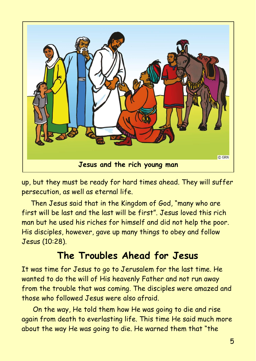

up, but they must be ready for hard times ahead. They will suffer persecution, as well as eternal life.

Then Jesus said that in the Kingdom of God, "many who are first will be last and the last will be first". Jesus loved this rich man but he used his riches for himself and did not help the poor. His disciples, however, gave up many things to obey and follow Jesus (10:28).

# **The Troubles Ahead for Jesus**

It was time for Jesus to go to Jerusalem for the last time. He wanted to do the will of His heavenly Father and not run away from the trouble that was coming. The disciples were amazed and those who followed Jesus were also afraid.

On the way, He told them how He was going to die and rise again from death to everlasting life. This time He said much more about the way He was going to die. He warned them that "the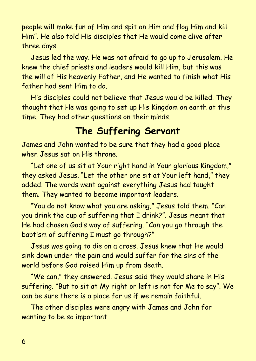people will make fun of Him and spit on Him and flog Him and kill Him". He also told His disciples that He would come alive after three days.

Jesus led the way. He was not afraid to go up to Jerusalem. He knew the chief priests and leaders would kill Him, but this was the will of His heavenly Father, and He wanted to finish what His father had sent Him to do.

His disciples could not believe that Jesus would be killed. They thought that He was going to set up His Kingdom on earth at this time. They had other questions on their minds.

## **The Suffering Servant**

James and John wanted to be sure that they had a good place when Jesus sat on His throne.

"Let one of us sit at Your right hand in Your glorious Kingdom," they asked Jesus. "Let the other one sit at Your left hand," they added. The words went against everything Jesus had taught them. They wanted to become important leaders.

"You do not know what you are asking," Jesus told them. "Can you drink the cup of suffering that I drink?". Jesus meant that He had chosen God's way of suffering. "Can you go through the baptism of suffering I must go through?"

Jesus was going to die on a cross. Jesus knew that He would sink down under the pain and would suffer for the sins of the world before God raised Him up from death.

"We can," they answered. Jesus said they would share in His suffering. "But to sit at My right or left is not for Me to say". We can be sure there is a place for us if we remain faithful.

The other disciples were angry with James and John for wanting to be so important.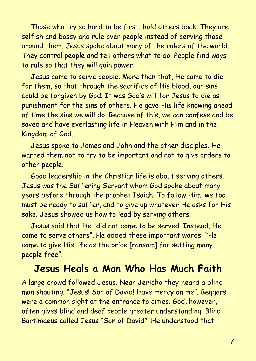Those who try so hard to be first, hold others back. They are selfish and bossy and rule over people instead of serving those around them. Jesus spoke about many of the rulers of the world. They control people and tell others what to do. People find ways to rule so that they will gain power.

Jesus came to serve people. More than that, He came to die for them, so that through the sacrifice of His blood, our sins could be forgiven by God. It was God's will for Jesus to die as punishment for the sins of others. He gave His life knowing ahead of time the sins we will do. Because of this, we can confess and be saved and have everlasting life in Heaven with Him and in the Kingdom of God.

Jesus spoke to James and John and the other disciples. He warned them not to try to be important and not to give orders to other people.

Good leadership in the Christian life is about serving others. Jesus was the Suffering Servant whom God spoke about many years before through the prophet Isaiah. To follow Him, we too must be ready to suffer, and to give up whatever He asks for His sake. Jesus showed us how to lead by serving others.

Jesus said that He "did not come to be served. Instead, He came to serve others". He added these important words: "He came to give His life as the price [ransom] for setting many people free".

### **Jesus Heals a Man Who Has Much Faith**

A large crowd followed Jesus. Near Jericho they heard a blind man shouting. "Jesus! Son of David! Have mercy on me". Beggars were a common sight at the entrance to cities. God, however, often gives blind and deaf people greater understanding. Blind Bartimaeus called Jesus "Son of David". He understood that